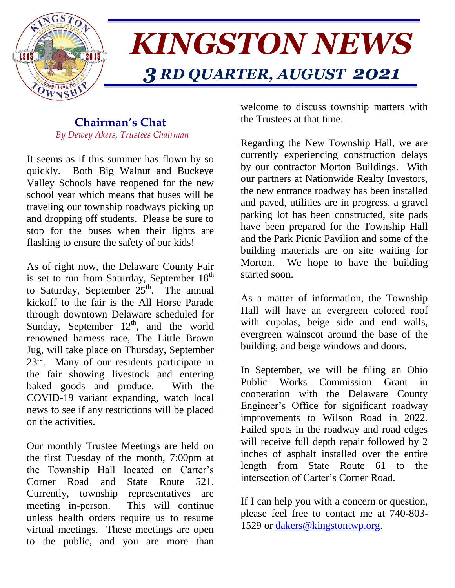

# *KINGSTON NEWS 3 RD QUARTER, AUGUST 2021*

#### **Chairman's Chat**  *By Dewey Akers, Trustees Chairman*

It seems as if this summer has flown by so quickly. Both Big Walnut and Buckeye Valley Schools have reopened for the new school year which means that buses will be traveling our township roadways picking up and dropping off students. Please be sure to stop for the buses when their lights are flashing to ensure the safety of our kids!

As of right now, the Delaware County Fair is set to run from Saturday, September  $18<sup>th</sup>$ to Saturday, September  $25<sup>th</sup>$ . The annual kickoff to the fair is the All Horse Parade through downtown Delaware scheduled for Sunday, September  $12<sup>th</sup>$ , and the world renowned harness race, The Little Brown Jug, will take place on Thursday, September 23<sup>rd</sup>. Many of our residents participate in the fair showing livestock and entering baked goods and produce. With the COVID-19 variant expanding, watch local news to see if any restrictions will be placed on the activities.

Our monthly Trustee Meetings are held on the first Tuesday of the month, 7:00pm at the Township Hall located on Carter's Corner Road and State Route 521. Currently, township representatives are meeting in-person. This will continue unless health orders require us to resume virtual meetings. These meetings are open to the public, and you are more than welcome to discuss township matters with the Trustees at that time.

Regarding the New Township Hall, we are currently experiencing construction delays by our contractor Morton Buildings. With our partners at Nationwide Realty Investors, the new entrance roadway has been installed and paved, utilities are in progress, a gravel parking lot has been constructed, site pads have been prepared for the Township Hall and the Park Picnic Pavilion and some of the building materials are on site waiting for Morton. We hope to have the building started soon.

As a matter of information, the Township Hall will have an evergreen colored roof with cupolas, beige side and end walls, evergreen wainscot around the base of the building, and beige windows and doors.

In September, we will be filing an Ohio Public Works Commission Grant in cooperation with the Delaware County Engineer's Office for significant roadway improvements to Wilson Road in 2022. Failed spots in the roadway and road edges will receive full depth repair followed by 2 inches of asphalt installed over the entire length from State Route 61 to the intersection of Carter's Corner Road.

If I can help you with a concern or question, please feel free to contact me at 740-803 1529 or [dakers@kingstontwp.org.](mailto:dakers@kingstontwp.org)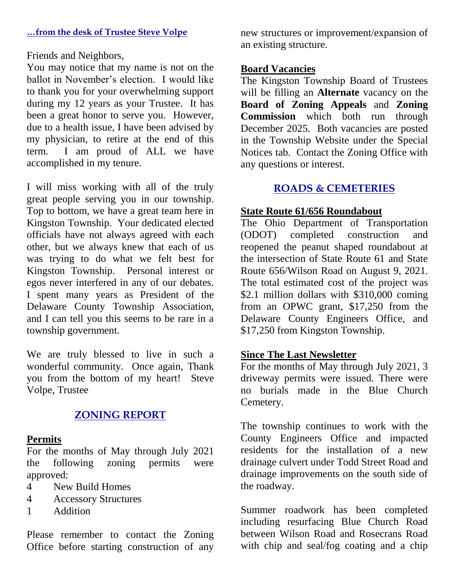#### **…from the desk of Trustee Steve Volpe**

Friends and Neighbors,

You may notice that my name is not on the ballot in November's election. I would like to thank you for your overwhelming support during my 12 years as your Trustee. It has been a great honor to serve you. However, due to a health issue, I have been advised by my physician, to retire at the end of this term. I am proud of ALL we have accomplished in my tenure.

I will miss working with all of the truly great people serving you in our township. Top to bottom, we have a great team here in Kingston Township. Your dedicated elected officials have not always agreed with each other, but we always knew that each of us was trying to do what we felt best for Kingston Township. Personal interest or egos never interfered in any of our debates. I spent many years as President of the Delaware County Township Association, and I can tell you this seems to be rare in a township government.

We are truly blessed to live in such a wonderful community. Once again, Thank you from the bottom of my heart! Steve Volpe, Trustee

### **ZONING REPORT**

#### **Permits**

For the months of May through July 2021 the following zoning permits were approved:

- 4 New Build Homes
- 4 Accessory Structures
- 1 Addition

Please remember to contact the Zoning Office before starting construction of any new structures or improvement/expansion of an existing structure.

#### **Board Vacancies**

The Kingston Township Board of Trustees will be filling an **Alternate** vacancy on the **Board of Zoning Appeals** and **Zoning Commission** which both run through December 2025. Both vacancies are posted in the Township Website under the Special Notices tab. Contact the Zoning Office with any questions or interest.

## **ROADS & CEMETERIES**

#### **State Route 61/656 Roundabout**

The Ohio Department of Transportation (ODOT) completed construction and reopened the peanut shaped roundabout at the intersection of State Route 61 and State Route 656/Wilson Road on August 9, 2021. The total estimated cost of the project was \$2.1 million dollars with \$310,000 coming from an OPWC grant, \$17,250 from the Delaware County Engineers Office, and \$17,250 from Kingston Township.

#### **Since The Last Newsletter**

For the months of May through July 2021, 3 driveway permits were issued. There were no burials made in the Blue Church Cemetery.

The township continues to work with the County Engineers Office and impacted residents for the installation of a new drainage culvert under Todd Street Road and drainage improvements on the south side of the roadway.

Summer roadwork has been completed including resurfacing Blue Church Road between Wilson Road and Rosecrans Road with chip and seal/fog coating and a chip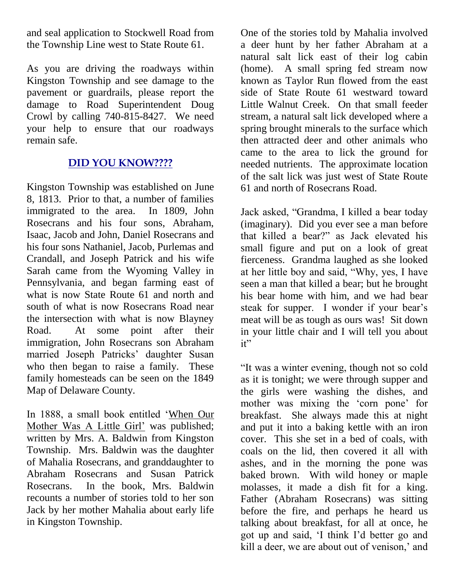and seal application to Stockwell Road from the Township Line west to State Route 61.

As you are driving the roadways within Kingston Township and see damage to the pavement or guardrails, please report the damage to Road Superintendent Doug Crowl by calling 740-815-8427. We need your help to ensure that our roadways remain safe.

# **DID YOU KNOW????**

Kingston Township was established on June 8, 1813. Prior to that, a number of families immigrated to the area. In 1809, John Rosecrans and his four sons, Abraham, Isaac, Jacob and John, Daniel Rosecrans and his four sons Nathaniel, Jacob, Purlemas and Crandall, and Joseph Patrick and his wife Sarah came from the Wyoming Valley in Pennsylvania, and began farming east of what is now State Route 61 and north and south of what is now Rosecrans Road near the intersection with what is now Blayney Road. At some point after their immigration, John Rosecrans son Abraham married Joseph Patricks' daughter Susan who then began to raise a family. These family homesteads can be seen on the 1849 Map of Delaware County.

In 1888, a small book entitled 'When Our Mother Was A Little Girl' was published; written by Mrs. A. Baldwin from Kingston Township. Mrs. Baldwin was the daughter of Mahalia Rosecrans, and granddaughter to Abraham Rosecrans and Susan Patrick Rosecrans. In the book, Mrs. Baldwin recounts a number of stories told to her son Jack by her mother Mahalia about early life in Kingston Township.

One of the stories told by Mahalia involved a deer hunt by her father Abraham at a natural salt lick east of their log cabin (home). A small spring fed stream now known as Taylor Run flowed from the east side of State Route 61 westward toward Little Walnut Creek. On that small feeder stream, a natural salt lick developed where a spring brought minerals to the surface which then attracted deer and other animals who came to the area to lick the ground for needed nutrients. The approximate location of the salt lick was just west of State Route 61 and north of Rosecrans Road.

Jack asked, "Grandma, I killed a bear today (imaginary). Did you ever see a man before that killed a bear?" as Jack elevated his small figure and put on a look of great fierceness. Grandma laughed as she looked at her little boy and said, "Why, yes, I have seen a man that killed a bear; but he brought his bear home with him, and we had bear steak for supper. I wonder if your bear's meat will be as tough as ours was! Sit down in your little chair and I will tell you about it"

"It was a winter evening, though not so cold as it is tonight; we were through supper and the girls were washing the dishes, and mother was mixing the 'corn pone' for breakfast. She always made this at night and put it into a baking kettle with an iron cover. This she set in a bed of coals, with coals on the lid, then covered it all with ashes, and in the morning the pone was baked brown. With wild honey or maple molasses, it made a dish fit for a king. Father (Abraham Rosecrans) was sitting before the fire, and perhaps he heard us talking about breakfast, for all at once, he got up and said, 'I think I'd better go and kill a deer, we are about out of venison,' and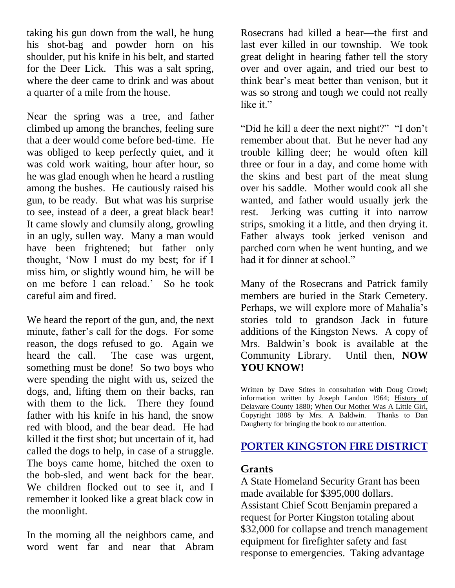taking his gun down from the wall, he hung his shot-bag and powder horn on his shoulder, put his knife in his belt, and started for the Deer Lick. This was a salt spring, where the deer came to drink and was about a quarter of a mile from the house.

Near the spring was a tree, and father climbed up among the branches, feeling sure that a deer would come before bed-time. He was obliged to keep perfectly quiet, and it was cold work waiting, hour after hour, so he was glad enough when he heard a rustling among the bushes. He cautiously raised his gun, to be ready. But what was his surprise to see, instead of a deer, a great black bear! It came slowly and clumsily along, growling in an ugly, sullen way. Many a man would have been frightened; but father only thought, 'Now I must do my best; for if I miss him, or slightly wound him, he will be on me before I can reload.' So he took careful aim and fired.

We heard the report of the gun, and, the next minute, father's call for the dogs. For some reason, the dogs refused to go. Again we heard the call. The case was urgent, something must be done! So two boys who were spending the night with us, seized the dogs, and, lifting them on their backs, ran with them to the lick. There they found father with his knife in his hand, the snow red with blood, and the bear dead. He had killed it the first shot; but uncertain of it, had called the dogs to help, in case of a struggle. The boys came home, hitched the oxen to the bob-sled, and went back for the bear. We children flocked out to see it, and I remember it looked like a great black cow in the moonlight.

In the morning all the neighbors came, and word went far and near that Abram

Rosecrans had killed a bear—the first and last ever killed in our township. We took great delight in hearing father tell the story over and over again, and tried our best to think bear's meat better than venison, but it was so strong and tough we could not really like it."

"Did he kill a deer the next night?" "I don't remember about that. But he never had any trouble killing deer; he would often kill three or four in a day, and come home with the skins and best part of the meat slung over his saddle. Mother would cook all she wanted, and father would usually jerk the rest. Jerking was cutting it into narrow strips, smoking it a little, and then drying it. Father always took jerked venison and parched corn when he went hunting, and we had it for dinner at school."

Many of the Rosecrans and Patrick family members are buried in the Stark Cemetery. Perhaps, we will explore more of Mahalia's stories told to grandson Jack in future additions of the Kingston News. A copy of Mrs. Baldwin's book is available at the Community Library. Until then, **NOW YOU KNOW!**

Written by Dave Stites in consultation with Doug Crowl; information written by Joseph Landon 1964; History of Delaware County 1880; When Our Mother Was A Little Girl, Copyright 1888 by Mrs. A Baldwin. Thanks to Dan Daugherty for bringing the book to our attention.

# **PORTER KINGSTON FIRE DISTRICT**

### **Grants**

A State Homeland Security Grant has been made available for \$395,000 dollars. Assistant Chief Scott Benjamin prepared a request for Porter Kingston totaling about \$32,000 for collapse and trench management equipment for firefighter safety and fast response to emergencies. Taking advantage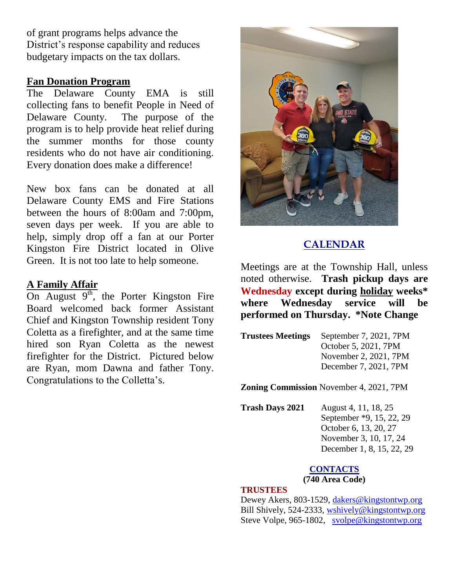of grant programs helps advance the District's response capability and reduces budgetary impacts on the tax dollars.

#### **Fan Donation Program**

The Delaware County EMA is still collecting fans to benefit People in Need of Delaware County. The purpose of the program is to help provide heat relief during the summer months for those county residents who do not have air conditioning. Every donation does make a difference!

New box fans can be donated at all Delaware County EMS and Fire Stations between the hours of 8:00am and 7:00pm, seven days per week. If you are able to help, simply drop off a fan at our Porter Kingston Fire District located in Olive Green. It is not too late to help someone.

#### **A Family Affair**

On August  $9<sup>th</sup>$ , the Porter Kingston Fire Board welcomed back former Assistant Chief and Kingston Township resident Tony Coletta as a firefighter, and at the same time hired son Ryan Coletta as the newest firefighter for the District. Pictured below are Ryan, mom Dawna and father Tony. Congratulations to the Colletta's.



# **CALENDAR**

Meetings are at the Township Hall, unless noted otherwise. **Trash pickup days are Wednesday except during holiday weeks\* where Wednesday service will be performed on Thursday. \*Note Change**

| <b>Trustees Meetings</b> | September 7, 2021, 7PM |
|--------------------------|------------------------|
|                          | October 5, 2021, 7PM   |
|                          | November 2, 2021, 7PM  |
|                          | December 7, 2021, 7PM  |

**Zoning Commission** November 4, 2021, 7PM

**Trash Days 2021** August 4, 11, 18, 25 September \*9, 15, 22, 29 October 6, 13, 20, 27 November 3, 10, 17, 24 December 1, 8, 15, 22, 29

#### **CONTACTS**

**(740 Area Code)** 

#### **TRUSTEES**

Dewey Akers, 803-1529, [dakers@kingstontwp.org](mailto:dakers@kingstontwp.org) Bill Shively, 524-2333, [wshively@kingstontwp.org](mailto:wshively@kingstontwp.org) Steve Volpe, 965-1802, [svolpe@kingstontwp.org](mailto:svolpe@kingstontwp.org)